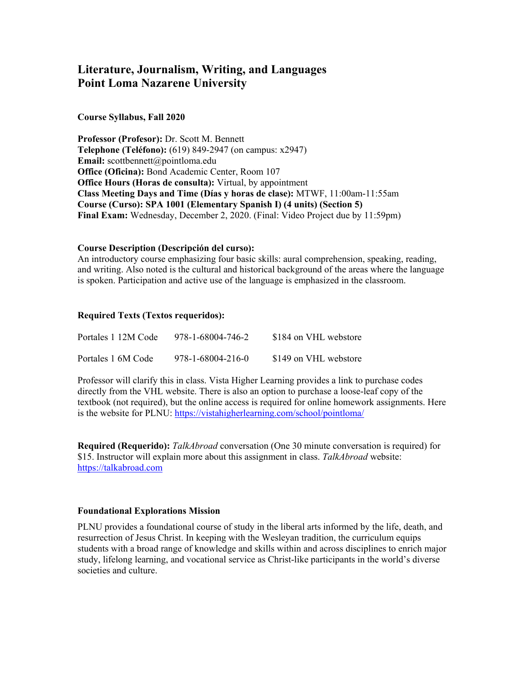# **Literature, Journalism, Writing, and Languages Point Loma Nazarene University**

## **Course Syllabus, Fall 2020**

**Professor (Profesor):** Dr. Scott M. Bennett **Telephone (Teléfono):** (619) 849-2947 (on campus: x2947) **Email:** scottbennett@pointloma.edu **Office (Oficina):** Bond Academic Center, Room 107 **Office Hours (Horas de consulta):** Virtual, by appointment **Class Meeting Days and Time (Días y horas de clase):** MTWF, 11:00am-11:55am **Course (Curso): SPA 1001 (Elementary Spanish I) (4 units) (Section 5) Final Exam:** Wednesday, December 2, 2020. (Final: Video Project due by 11:59pm)

### **Course Description (Descripción del curso):**

An introductory course emphasizing four basic skills: aural comprehension, speaking, reading, and writing. Also noted is the cultural and historical background of the areas where the language is spoken. Participation and active use of the language is emphasized in the classroom.

## **Required Texts (Textos requeridos):**

| Portales 1 12M Code | 978-1-68004-746-2 | \$184 on VHL webstore |
|---------------------|-------------------|-----------------------|
| Portales 1 6M Code  | 978-1-68004-216-0 | \$149 on VHL webstore |

Professor will clarify this in class. Vista Higher Learning provides a link to purchase codes directly from the VHL website. There is also an option to purchase a loose-leaf copy of the textbook (not required), but the online access is required for online homework assignments. Here is the website for PLNU:<https://vistahigherlearning.com/school/pointloma/>

**Required (Requerido):** *TalkAbroad* conversation (One 30 minute conversation is required) for \$15. Instructor will explain more about this assignment in class. *TalkAbroad* website: [https://talkabroad.com](https://talkabroad.com/)

### **Foundational Explorations Mission**

PLNU provides a foundational course of study in the liberal arts informed by the life, death, and resurrection of Jesus Christ. In keeping with the Wesleyan tradition, the curriculum equips students with a broad range of knowledge and skills within and across disciplines to enrich major study, lifelong learning, and vocational service as Christ-like participants in the world's diverse societies and culture.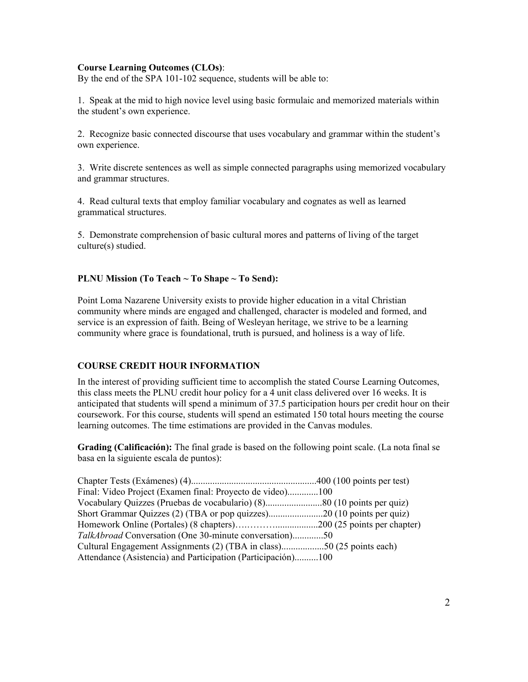# **Course Learning Outcomes (CLOs)**:

By the end of the SPA 101-102 sequence, students will be able to:

1. Speak at the mid to high novice level using basic formulaic and memorized materials within the student's own experience.

2. Recognize basic connected discourse that uses vocabulary and grammar within the student's own experience.

3. Write discrete sentences as well as simple connected paragraphs using memorized vocabulary and grammar structures.

4. Read cultural texts that employ familiar vocabulary and cognates as well as learned grammatical structures.

5. Demonstrate comprehension of basic cultural mores and patterns of living of the target culture(s) studied.

### **PLNU Mission (To Teach ~ To Shape ~ To Send):**

Point Loma Nazarene University exists to provide higher education in a vital Christian community where minds are engaged and challenged, character is modeled and formed, and service is an expression of faith. Being of Wesleyan heritage, we strive to be a learning community where grace is foundational, truth is pursued, and holiness is a way of life.

## **COURSE CREDIT HOUR INFORMATION**

In the interest of providing sufficient time to accomplish the stated Course Learning Outcomes, this class meets the PLNU credit hour policy for a 4 unit class delivered over 16 weeks. It is anticipated that students will spend a minimum of 37.5 participation hours per credit hour on their coursework. For this course, students will spend an estimated 150 total hours meeting the course learning outcomes. The time estimations are provided in the Canvas modules.

**Grading (Calificación):** The final grade is based on the following point scale. (La nota final se basa en la siguiente escala de puntos):

| Final: Video Project (Examen final: Proyecto de video)100              |  |
|------------------------------------------------------------------------|--|
| Vocabulary Quizzes (Pruebas de vocabulario) (8)80 (10 points per quiz) |  |
|                                                                        |  |
|                                                                        |  |
| TalkAbroad Conversation (One 30-minute conversation)50                 |  |
| Cultural Engagement Assignments (2) (TBA in class)50 (25 points each)  |  |
| Attendance (Asistencia) and Participation (Participación)100           |  |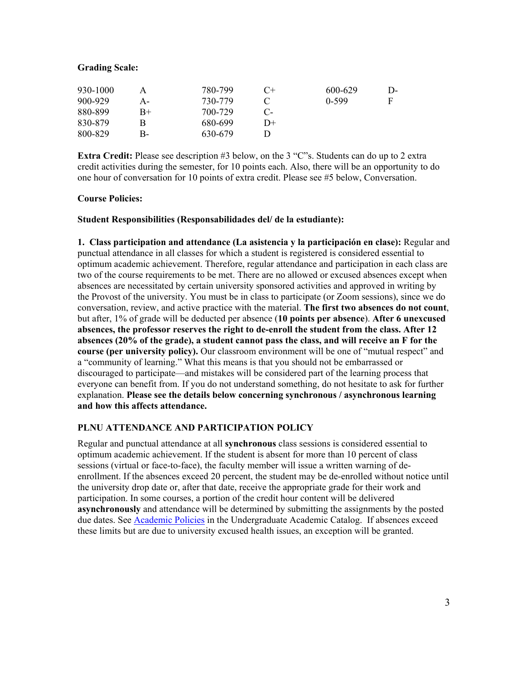## **Grading Scale:**

| 930-1000 |    | 780-799 | $($ + | 600-629 | D- |
|----------|----|---------|-------|---------|----|
| 900-929  | А- | 730-779 |       | $0-599$ | F  |
| 880-899  | B+ | 700-729 | С-    |         |    |
| 830-879  | В  | 680-699 | $D+$  |         |    |
| 800-829  | В- | 630-679 |       |         |    |

**Extra Credit:** Please see description #3 below, on the 3 "C"s. Students can do up to 2 extra credit activities during the semester, for 10 points each. Also, there will be an opportunity to do one hour of conversation for 10 points of extra credit. Please see #5 below, Conversation.

## **Course Policies:**

## **Student Responsibilities (Responsabilidades del/ de la estudiante):**

**1. Class participation and attendance (La asistencia y la participación en clase):** Regular and punctual attendance in all classes for which a student is registered is considered essential to optimum academic achievement. Therefore, regular attendance and participation in each class are two of the course requirements to be met. There are no allowed or excused absences except when absences are necessitated by certain university sponsored activities and approved in writing by the Provost of the university. You must be in class to participate (or Zoom sessions), since we do conversation, review, and active practice with the material. **The first two absences do not count**, but after, 1% of grade will be deducted per absence (**10 points per absence**). **After 6 unexcused absences, the professor reserves the right to de-enroll the student from the class. After 12 absences (20% of the grade), a student cannot pass the class, and will receive an F for the course (per university policy).** Our classroom environment will be one of "mutual respect" and a "community of learning." What this means is that you should not be embarrassed or discouraged to participate—and mistakes will be considered part of the learning process that everyone can benefit from. If you do not understand something, do not hesitate to ask for further explanation. **Please see the details below concerning synchronous / asynchronous learning and how this affects attendance.**

# **PLNU ATTENDANCE AND PARTICIPATION POLICY**

Regular and punctual attendance at all **synchronous** class sessions is considered essential to optimum academic achievement. If the student is absent for more than 10 percent of class sessions (virtual or face-to-face), the faculty member will issue a written warning of deenrollment. If the absences exceed 20 percent, the student may be de-enrolled without notice until the university drop date or, after that date, receive the appropriate grade for their work and participation. In some courses, a portion of the credit hour content will be delivered **asynchronously** and attendance will be determined by submitting the assignments by the posted due dates. See [Academic Policies](https://catalog.pointloma.edu/content.php?catoid=46&navoid=2650#Class_Attendance) in the Undergraduate Academic Catalog. If absences exceed these limits but are due to university excused health issues, an exception will be granted.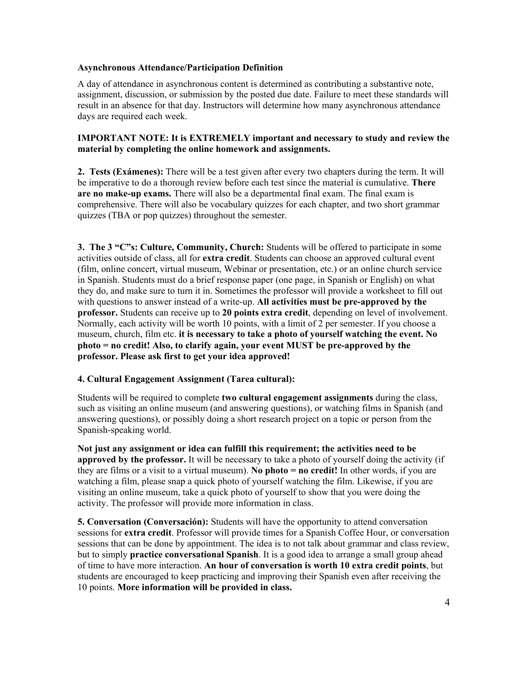## **Asynchronous Attendance/Participation Definition**

A day of attendance in asynchronous content is determined as contributing a substantive note, assignment, discussion, or submission by the posted due date. Failure to meet these standards will result in an absence for that day. Instructors will determine how many asynchronous attendance days are required each week.

# **IMPORTANT NOTE: It is EXTREMELY important and necessary to study and review the material by completing the online homework and assignments.**

**2. Tests (Exámenes):** There will be a test given after every two chapters during the term. It will be imperative to do a thorough review before each test since the material is cumulative. **There are no make-up exams.** There will also be a departmental final exam. The final exam is comprehensive. There will also be vocabulary quizzes for each chapter, and two short grammar quizzes (TBA or pop quizzes) throughout the semester.

**3. The 3 "C"s: Culture, Community, Church:** Students will be offered to participate in some activities outside of class, all for **extra credit**. Students can choose an approved cultural event (film, online concert, virtual museum, Webinar or presentation, etc.) or an online church service in Spanish. Students must do a brief response paper (one page, in Spanish or English) on what they do, and make sure to turn it in. Sometimes the professor will provide a worksheet to fill out with questions to answer instead of a write-up. **All activities must be pre-approved by the professor.** Students can receive up to **20 points extra credit**, depending on level of involvement. Normally, each activity will be worth 10 points, with a limit of 2 per semester. If you choose a museum, church, film etc. **it is necessary to take a photo of yourself watching the event. No photo = no credit! Also, to clarify again, your event MUST be pre-approved by the professor. Please ask first to get your idea approved!**

# **4. Cultural Engagement Assignment (Tarea cultural):**

Students will be required to complete **two cultural engagement assignments** during the class, such as visiting an online museum (and answering questions), or watching films in Spanish (and answering questions), or possibly doing a short research project on a topic or person from the Spanish-speaking world.

**Not just any assignment or idea can fulfill this requirement; the activities need to be approved by the professor.** It will be necessary to take a photo of yourself doing the activity (if they are films or a visit to a virtual museum). **No photo = no credit!** In other words, if you are watching a film, please snap a quick photo of yourself watching the film. Likewise, if you are visiting an online museum, take a quick photo of yourself to show that you were doing the activity. The professor will provide more information in class.

**5. Conversation (Conversación):** Students will have the opportunity to attend conversation sessions for **extra credit**. Professor will provide times for a Spanish Coffee Hour, or conversation sessions that can be done by appointment. The idea is to not talk about grammar and class review, but to simply **practice conversational Spanish**. It is a good idea to arrange a small group ahead of time to have more interaction. **An hour of conversation is worth 10 extra credit points**, but students are encouraged to keep practicing and improving their Spanish even after receiving the 10 points. **More information will be provided in class.**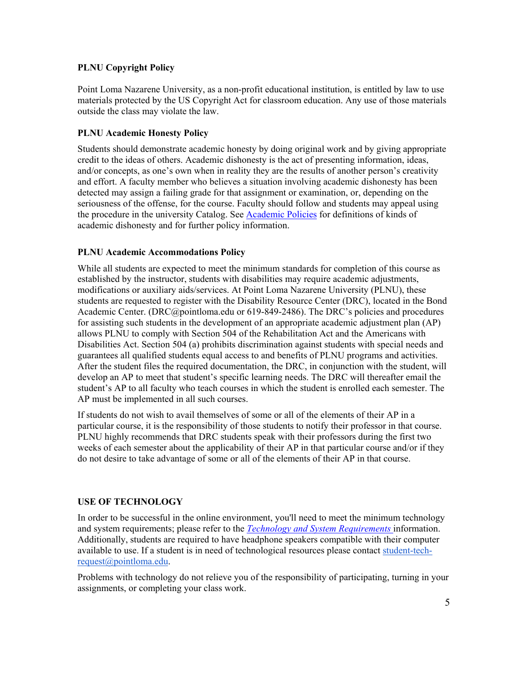# **PLNU Copyright Policy**

Point Loma Nazarene University, as a non-profit educational institution, is entitled by law to use materials protected by the US Copyright Act for classroom education. Any use of those materials outside the class may violate the law.

# **PLNU Academic Honesty Policy**

Students should demonstrate academic honesty by doing original work and by giving appropriate credit to the ideas of others. Academic dishonesty is the act of presenting information, ideas, and/or concepts, as one's own when in reality they are the results of another person's creativity and effort. A faculty member who believes a situation involving academic dishonesty has been detected may assign a failing grade for that assignment or examination, or, depending on the seriousness of the offense, for the course. Faculty should follow and students may appeal using the procedure in the university Catalog. See [Academic Policies](http://catalog.pointloma.edu/content.php?catoid=18&navoid=1278) for definitions of kinds of academic dishonesty and for further policy information.

# **PLNU Academic Accommodations Policy**

While all students are expected to meet the minimum standards for completion of this course as established by the instructor, students with disabilities may require academic adjustments, modifications or auxiliary aids/services. At Point Loma Nazarene University (PLNU), these students are requested to register with the Disability Resource Center (DRC), located in the Bond Academic Center. (DRC@pointloma.edu or 619-849-2486). The DRC's policies and procedures for assisting such students in the development of an appropriate academic adjustment plan (AP) allows PLNU to comply with Section 504 of the Rehabilitation Act and the Americans with Disabilities Act. Section 504 (a) prohibits discrimination against students with special needs and guarantees all qualified students equal access to and benefits of PLNU programs and activities. After the student files the required documentation, the DRC, in conjunction with the student, will develop an AP to meet that student's specific learning needs. The DRC will thereafter email the student's AP to all faculty who teach courses in which the student is enrolled each semester. The AP must be implemented in all such courses.

If students do not wish to avail themselves of some or all of the elements of their AP in a particular course, it is the responsibility of those students to notify their professor in that course. PLNU highly recommends that DRC students speak with their professors during the first two weeks of each semester about the applicability of their AP in that particular course and/or if they do not desire to take advantage of some or all of the elements of their AP in that course.

# **USE OF TECHNOLOGY**

In order to be successful in the online environment, you'll need to meet the minimum technology and system requirements; please refer to the *[Technology and System Requirements](https://help.pointloma.edu/TDClient/1808/Portal/KB/ArticleDet?ID=108349)* information. Additionally, students are required to have headphone speakers compatible with their computer available to use. If a student is in need of technological resources please contact [student-tech](mailto:student-tech-request@pointloma.edu)[request@pointloma.edu.](mailto:student-tech-request@pointloma.edu)

Problems with technology do not relieve you of the responsibility of participating, turning in your assignments, or completing your class work.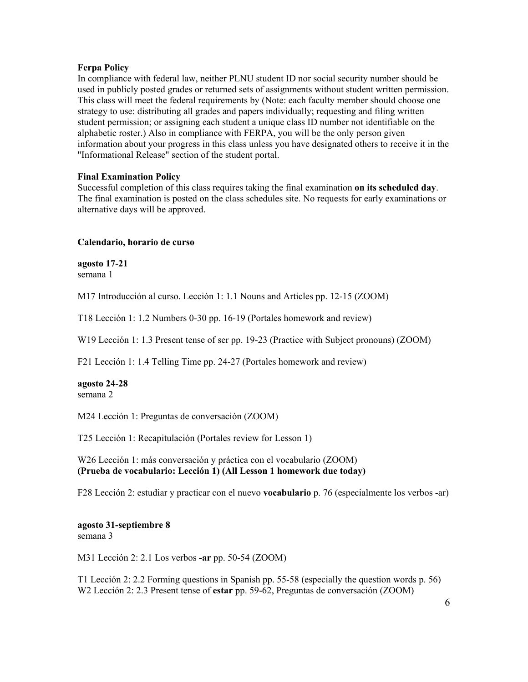#### **Ferpa Policy**

In compliance with federal law, neither PLNU student ID nor social security number should be used in publicly posted grades or returned sets of assignments without student written permission. This class will meet the federal requirements by (Note: each faculty member should choose one strategy to use: distributing all grades and papers individually; requesting and filing written student permission; or assigning each student a unique class ID number not identifiable on the alphabetic roster.) Also in compliance with FERPA, you will be the only person given information about your progress in this class unless you have designated others to receive it in the "Informational Release" section of the student portal.

#### **Final Examination Policy**

Successful completion of this class requires taking the final examination **on its scheduled day**. The final examination is posted on the class schedules site. No requests for early examinations or alternative days will be approved.

#### **Calendario, horario de curso**

**agosto 17-21** semana 1

M17 Introducción al curso. Lección 1: 1.1 Nouns and Articles pp. 12-15 (ZOOM)

T18 Lección 1: 1.2 Numbers 0-30 pp. 16-19 (Portales homework and review)

W19 Lección 1: 1.3 Present tense of ser pp. 19-23 (Practice with Subject pronouns) (ZOOM)

F21 Lección 1: 1.4 Telling Time pp. 24-27 (Portales homework and review)

**agosto 24-28** semana 2

M24 Lección 1: Preguntas de conversación (ZOOM)

T25 Lección 1: Recapitulación (Portales review for Lesson 1)

W26 Lección 1: más conversación y práctica con el vocabulario (ZOOM) **(Prueba de vocabulario: Lección 1) (All Lesson 1 homework due today)**

F28 Lección 2: estudiar y practicar con el nuevo **vocabulario** p. 76 (especialmente los verbos -ar)

**agosto 31-septiembre 8** semana 3

M31 Lección 2: 2.1 Los verbos **-ar** pp. 50-54 (ZOOM)

T1 Lección 2: 2.2 Forming questions in Spanish pp. 55-58 (especially the question words p. 56) W2 Lección 2: 2.3 Present tense of **estar** pp. 59-62, Preguntas de conversación (ZOOM)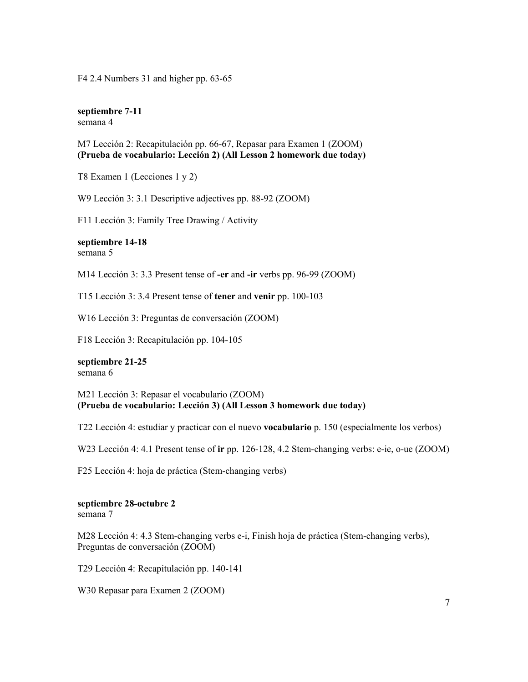F4 2.4 Numbers 31 and higher pp. 63-65

**septiembre 7-11** semana 4

M7 Lección 2: Recapitulación pp. 66-67, Repasar para Examen 1 (ZOOM) **(Prueba de vocabulario: Lección 2) (All Lesson 2 homework due today)**

T8 Examen 1 (Lecciones 1 y 2)

W9 Lección 3: 3.1 Descriptive adjectives pp. 88-92 (ZOOM)

F11 Lección 3: Family Tree Drawing / Activity

**septiembre 14-18** semana 5

M14 Lección 3: 3.3 Present tense of **-er** and **-ir** verbs pp. 96-99 (ZOOM)

T15 Lección 3: 3.4 Present tense of **tener** and **venir** pp. 100-103

W16 Lección 3: Preguntas de conversación (ZOOM)

F18 Lección 3: Recapitulación pp. 104-105

**septiembre 21-25** semana 6

M21 Lección 3: Repasar el vocabulario (ZOOM) **(Prueba de vocabulario: Lección 3) (All Lesson 3 homework due today)**

T22 Lección 4: estudiar y practicar con el nuevo **vocabulario** p. 150 (especialmente los verbos)

W23 Lección 4: 4.1 Present tense of **ir** pp. 126-128, 4.2 Stem-changing verbs: e-ie, o-ue (ZOOM)

F25 Lección 4: hoja de práctica (Stem-changing verbs)

# **septiembre 28-octubre 2**

semana 7

M28 Lección 4: 4.3 Stem-changing verbs e-i, Finish hoja de práctica (Stem-changing verbs), Preguntas de conversación (ZOOM)

T29 Lección 4: Recapitulación pp. 140-141

W30 Repasar para Examen 2 (ZOOM)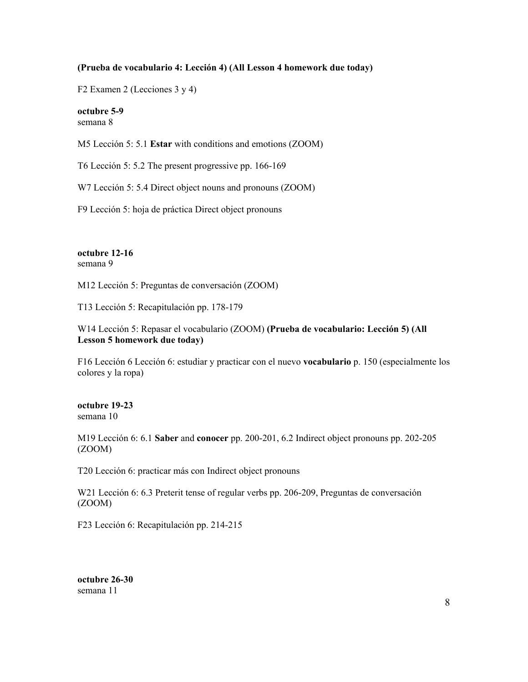#### **(Prueba de vocabulario 4: Lección 4) (All Lesson 4 homework due today)**

F2 Examen 2 (Lecciones 3 y 4)

**octubre 5-9**  semana 8

M5 Lección 5: 5.1 **Estar** with conditions and emotions (ZOOM)

T6 Lección 5: 5.2 The present progressive pp. 166-169

W7 Lección 5: 5.4 Direct object nouns and pronouns (ZOOM)

F9 Lección 5: hoja de práctica Direct object pronouns

#### **octubre 12-16** semana 9

M12 Lección 5: Preguntas de conversación (ZOOM)

T13 Lección 5: Recapitulación pp. 178-179

# W14 Lección 5: Repasar el vocabulario (ZOOM) **(Prueba de vocabulario: Lección 5) (All Lesson 5 homework due today)**

F16 Lección 6 Lección 6: estudiar y practicar con el nuevo **vocabulario** p. 150 (especialmente los colores y la ropa)

#### **octubre 19-23** semana 10

M19 Lección 6: 6.1 **Saber** and **conocer** pp. 200-201, 6.2 Indirect object pronouns pp. 202-205 (ZOOM)

T20 Lección 6: practicar más con Indirect object pronouns

W21 Lección 6: 6.3 Preterit tense of regular verbs pp. 206-209, Preguntas de conversación (ZOOM)

F23 Lección 6: Recapitulación pp. 214-215

**octubre 26-30** semana 11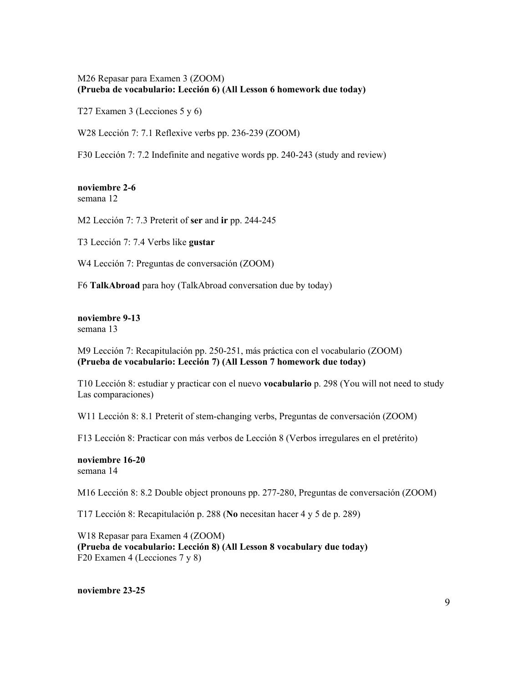## M26 Repasar para Examen 3 (ZOOM) **(Prueba de vocabulario: Lección 6) (All Lesson 6 homework due today)**

T27 Examen 3 (Lecciones 5 y 6)

W28 Lección 7: 7.1 Reflexive verbs pp. 236-239 (ZOOM)

F30 Lección 7: 7.2 Indefinite and negative words pp. 240-243 (study and review)

#### **noviembre 2-6** semana 12

M2 Lección 7: 7.3 Preterit of **ser** and **ir** pp. 244-245

T3 Lección 7: 7.4 Verbs like **gustar**

W4 Lección 7: Preguntas de conversación (ZOOM)

F6 **TalkAbroad** para hoy (TalkAbroad conversation due by today)

**noviembre 9-13** semana 13

M9 Lección 7: Recapitulación pp. 250-251, más práctica con el vocabulario (ZOOM) **(Prueba de vocabulario: Lección 7) (All Lesson 7 homework due today)**

T10 Lección 8: estudiar y practicar con el nuevo **vocabulario** p. 298 (You will not need to study Las comparaciones)

W11 Lección 8: 8.1 Preterit of stem-changing verbs, Preguntas de conversación (ZOOM)

F13 Lección 8: Practicar con más verbos de Lección 8 (Verbos irregulares en el pretérito)

**noviembre 16-20** semana 14

M16 Lección 8: 8.2 Double object pronouns pp. 277-280, Preguntas de conversación (ZOOM)

T17 Lección 8: Recapitulación p. 288 (**No** necesitan hacer 4 y 5 de p. 289)

W18 Repasar para Examen 4 (ZOOM) **(Prueba de vocabulario: Lección 8) (All Lesson 8 vocabulary due today)** F20 Examen 4 (Lecciones 7 y 8)

**noviembre 23-25**